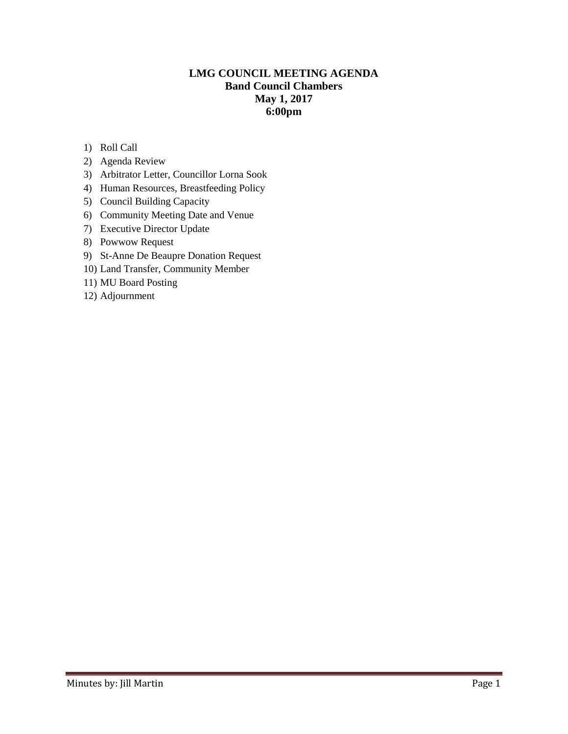### **LMG COUNCIL MEETING AGENDA Band Council Chambers May 1, 2017 6:00pm**

- 1) Roll Call
- 2) Agenda Review
- 3) Arbitrator Letter, Councillor Lorna Sook
- 4) Human Resources, Breastfeeding Policy
- 5) Council Building Capacity
- 6) Community Meeting Date and Venue
- 7) Executive Director Update
- 8) Powwow Request
- 9) St-Anne De Beaupre Donation Request
- 10) Land Transfer, Community Member
- 11) MU Board Posting
- 12) Adjournment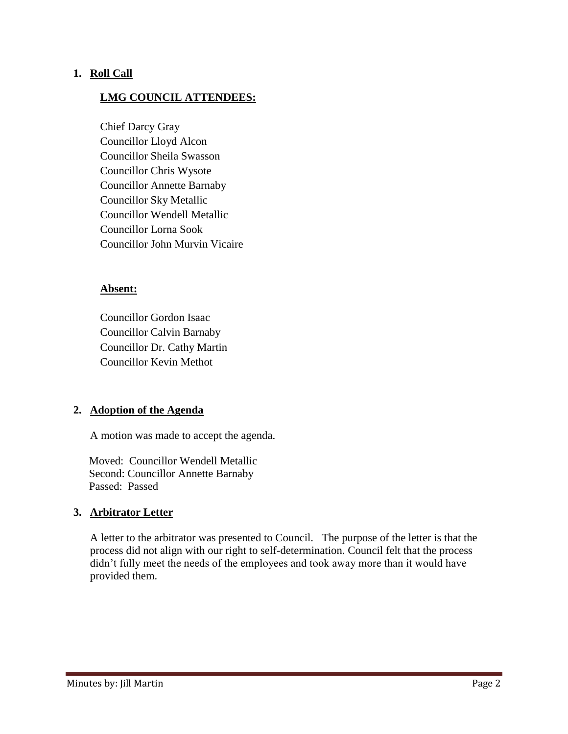#### **1. Roll Call**

### **LMG COUNCIL ATTENDEES:**

Chief Darcy Gray Councillor Lloyd Alcon Councillor Sheila Swasson Councillor Chris Wysote Councillor Annette Barnaby Councillor Sky Metallic Councillor Wendell Metallic Councillor Lorna Sook Councillor John Murvin Vicaire

#### **Absent:**

Councillor Gordon Isaac Councillor Calvin Barnaby Councillor Dr. Cathy Martin Councillor Kevin Methot

#### **2. Adoption of the Agenda**

A motion was made to accept the agenda.

 Moved: Councillor Wendell Metallic Second: Councillor Annette Barnaby Passed: Passed

#### **3. Arbitrator Letter**

A letter to the arbitrator was presented to Council. The purpose of the letter is that the process did not align with our right to self-determination. Council felt that the process didn't fully meet the needs of the employees and took away more than it would have provided them.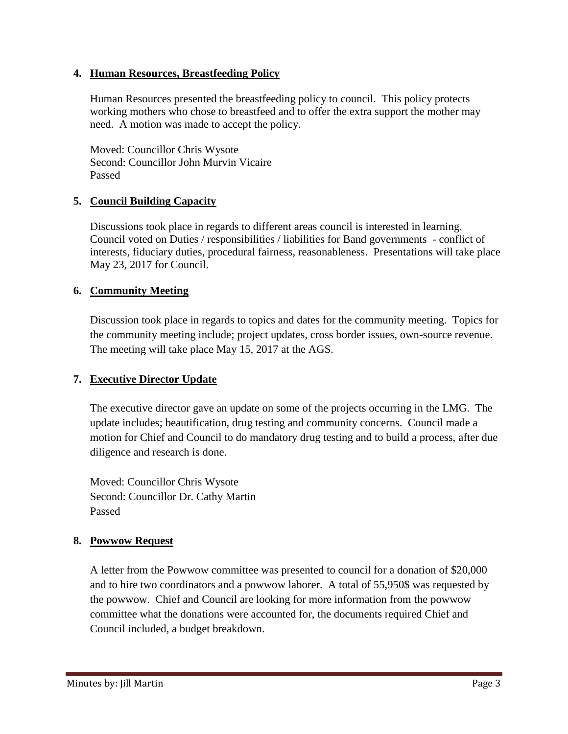## **4. Human Resources, Breastfeeding Policy**

Human Resources presented the breastfeeding policy to council. This policy protects working mothers who chose to breastfeed and to offer the extra support the mother may need. A motion was made to accept the policy.

Moved: Councillor Chris Wysote Second: Councillor John Murvin Vicaire Passed

## **5. Council Building Capacity**

Discussions took place in regards to different areas council is interested in learning. Council voted on Duties / responsibilities / liabilities for Band governments - conflict of interests, fiduciary duties, procedural fairness, reasonableness. Presentations will take place May 23, 2017 for Council.

## **6. Community Meeting**

Discussion took place in regards to topics and dates for the community meeting. Topics for the community meeting include; project updates, cross border issues, own-source revenue. The meeting will take place May 15, 2017 at the AGS.

# **7. Executive Director Update**

The executive director gave an update on some of the projects occurring in the LMG. The update includes; beautification, drug testing and community concerns. Council made a motion for Chief and Council to do mandatory drug testing and to build a process, after due diligence and research is done.

Moved: Councillor Chris Wysote Second: Councillor Dr. Cathy Martin Passed

# **8. Powwow Request**

A letter from the Powwow committee was presented to council for a donation of \$20,000 and to hire two coordinators and a powwow laborer. A total of 55,950\$ was requested by the powwow. Chief and Council are looking for more information from the powwow committee what the donations were accounted for, the documents required Chief and Council included, a budget breakdown.